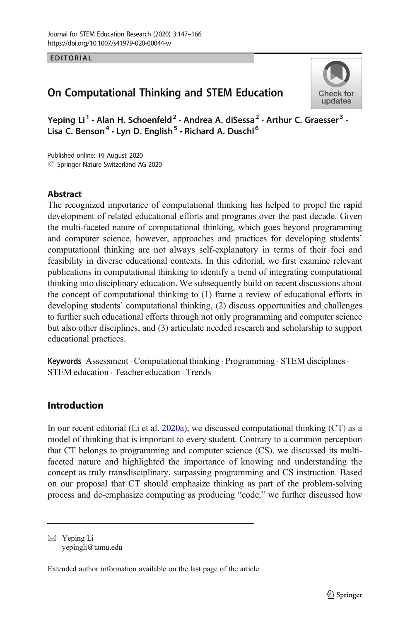### EDITORIAL

# On Computational Thinking and STEM Education



Yeping Li<sup>1</sup>  $\cdot$  Alan H. Schoenfeld<sup>2</sup>  $\cdot$  Andrea A. diSessa<sup>2</sup>  $\cdot$  Arthur C. Graesser<sup>3</sup>  $\cdot$ Lisa C. Benson<sup>4</sup> · Lyn D. English<sup>5</sup> · Richard A. Duschl<sup>6</sup>

 $\circledcirc$  Springer Nature Switzerland AG 2020 Published online: 19 August 2020

# Abstract

The recognized importance of computational thinking has helped to propel the rapid development of related educational efforts and programs over the past decade. Given the multi-faceted nature of computational thinking, which goes beyond programming and computer science, however, approaches and practices for developing students' computational thinking are not always self-explanatory in terms of their foci and feasibility in diverse educational contexts. In this editorial, we first examine relevant publications in computational thinking to identify a trend of integrating computational thinking into disciplinary education. We subsequently build on recent discussions about the concept of computational thinking to (1) frame a review of educational efforts in developing students' computational thinking, (2) discuss opportunities and challenges to further such educational efforts through not only programming and computer science but also other disciplines, and (3) articulate needed research and scholarship to support educational practices.

Keywords Assessment · Computational thinking · Programming · STEM disciplines · STEM education . Teacher education . Trends

# Introduction

In our recent editorial (Li et al. [2020a](#page-17-0)), we discussed computational thinking (CT) as a model of thinking that is important to every student. Contrary to a common perception that CT belongs to programming and computer science (CS), we discussed its multifaceted nature and highlighted the importance of knowing and understanding the concept as truly transdisciplinary, surpassing programming and CS instruction. Based on our proposal that CT should emphasize thinking as part of the problem-solving process and de-emphasize computing as producing "code," we further discussed how

 $\boxtimes$  Yeping Li [yepingli@tamu.edu](mailto:yepingli@tamu.edu)

Extended author information available on the last page of the article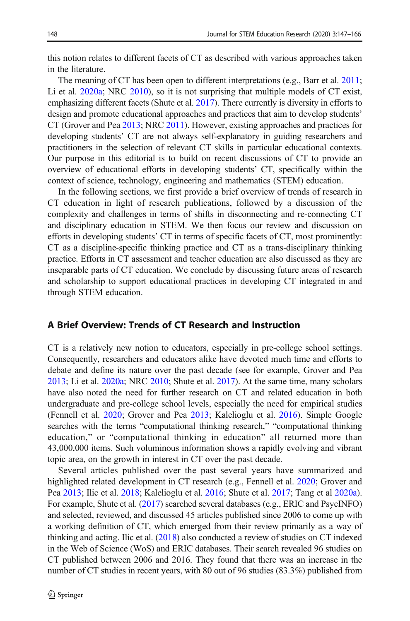this notion relates to different facets of CT as described with various approaches taken in the literature.

The meaning of CT has been open to different interpretations (e.g., Barr et al. [2011;](#page-15-0) Li et al. [2020a;](#page-17-0) NRC [2010\)](#page-17-0), so it is not surprising that multiple models of CT exist, emphasizing different facets (Shute et al. [2017\)](#page-18-0). There currently is diversity in efforts to design and promote educational approaches and practices that aim to develop students' CT (Grover and Pea [2013;](#page-16-0) NRC [2011\)](#page-17-0). However, existing approaches and practices for developing students' CT are not always self-explanatory in guiding researchers and practitioners in the selection of relevant CT skills in particular educational contexts. Our purpose in this editorial is to build on recent discussions of CT to provide an overview of educational efforts in developing students' CT, specifically within the context of science, technology, engineering and mathematics (STEM) education.

In the following sections, we first provide a brief overview of trends of research in CT education in light of research publications, followed by a discussion of the complexity and challenges in terms of shifts in disconnecting and re-connecting CT and disciplinary education in STEM. We then focus our review and discussion on efforts in developing students' CT in terms of specific facets of CT, most prominently: CT as a discipline-specific thinking practice and CT as a trans-disciplinary thinking practice. Efforts in CT assessment and teacher education are also discussed as they are inseparable parts of CT education. We conclude by discussing future areas of research and scholarship to support educational practices in developing CT integrated in and through STEM education.

#### A Brief Overview: Trends of CT Research and Instruction

CT is a relatively new notion to educators, especially in pre-college school settings. Consequently, researchers and educators alike have devoted much time and efforts to debate and define its nature over the past decade (see for example, Grover and Pea [2013;](#page-16-0) Li et al. [2020a;](#page-17-0) NRC [2010;](#page-17-0) Shute et al. [2017](#page-18-0)). At the same time, many scholars have also noted the need for further research on CT and related education in both undergraduate and pre-college school levels, especially the need for empirical studies (Fennell et al. [2020;](#page-16-0) Grover and Pea [2013;](#page-16-0) Kalelioglu et al. [2016\)](#page-16-0). Simple Google searches with the terms "computational thinking research," "computational thinking education," or "computational thinking in education" all returned more than 43,000,000 items. Such voluminous information shows a rapidly evolving and vibrant topic area, on the growth in interest in CT over the past decade.

Several articles published over the past several years have summarized and highlighted related development in CT research (e.g., Fennell et al. [2020](#page-16-0); Grover and Pea [2013](#page-16-0); Ilic et al. [2018](#page-16-0); Kalelioglu et al. [2016;](#page-16-0) Shute et al. [2017](#page-18-0); Tang et al [2020a\)](#page-18-0). For example, Shute et al. [\(2017\)](#page-18-0) searched several databases (e.g., ERIC and PsycINFO) and selected, reviewed, and discussed 45 articles published since 2006 to come up with a working definition of CT, which emerged from their review primarily as a way of thinking and acting. Ilic et al. ([2018](#page-16-0)) also conducted a review of studies on CT indexed in the Web of Science (WoS) and ERIC databases. Their search revealed 96 studies on CT published between 2006 and 2016. They found that there was an increase in the number of CT studies in recent years, with 80 out of 96 studies (83.3%) published from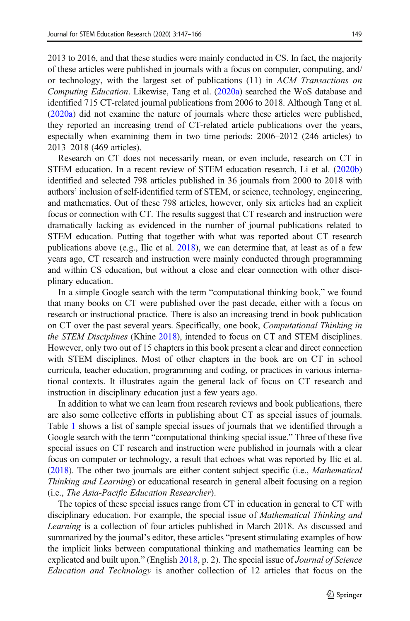2013 to 2016, and that these studies were mainly conducted in CS. In fact, the majority of these articles were published in journals with a focus on computer, computing, and/ or technology, with the largest set of publications (11) in ACM Transactions on Computing Education. Likewise, Tang et al. ([2020a\)](#page-18-0) searched the WoS database and identified 715 CT-related journal publications from 2006 to 2018. Although Tang et al. [\(2020a\)](#page-18-0) did not examine the nature of journals where these articles were published, they reported an increasing trend of CT-related article publications over the years, especially when examining them in two time periods: 2006–2012 (246 articles) to 2013–2018 (469 articles).

Research on CT does not necessarily mean, or even include, research on CT in STEM education. In a recent review of STEM education research, Li et al. ([2020b](#page-17-0)) identified and selected 798 articles published in 36 journals from 2000 to 2018 with authors' inclusion of self-identified term of STEM, or science, technology, engineering, and mathematics. Out of these 798 articles, however, only six articles had an explicit focus or connection with CT. The results suggest that CT research and instruction were dramatically lacking as evidenced in the number of journal publications related to STEM education. Putting that together with what was reported about CT research publications above (e.g., Ilic et al. [2018\)](#page-16-0), we can determine that, at least as of a few years ago, CT research and instruction were mainly conducted through programming and within CS education, but without a close and clear connection with other disciplinary education.

In a simple Google search with the term "computational thinking book," we found that many books on CT were published over the past decade, either with a focus on research or instructional practice. There is also an increasing trend in book publication on CT over the past several years. Specifically, one book, Computational Thinking in the STEM Disciplines (Khine [2018\)](#page-16-0), intended to focus on CT and STEM disciplines. However, only two out of 15 chapters in this book present a clear and direct connection with STEM disciplines. Most of other chapters in the book are on CT in school curricula, teacher education, programming and coding, or practices in various international contexts. It illustrates again the general lack of focus on CT research and instruction in disciplinary education just a few years ago.

In addition to what we can learn from research reviews and book publications, there are also some collective efforts in publishing about CT as special issues of journals. Table [1](#page-3-0) shows a list of sample special issues of journals that we identified through a Google search with the term "computational thinking special issue." Three of these five special issues on CT research and instruction were published in journals with a clear focus on computer or technology, a result that echoes what was reported by Ilic et al. [\(2018\)](#page-16-0). The other two journals are either content subject specific (i.e., Mathematical Thinking and Learning) or educational research in general albeit focusing on a region (i.e., The Asia-Pacific Education Researcher).

The topics of these special issues range from CT in education in general to CT with disciplinary education. For example, the special issue of *Mathematical Thinking and* Learning is a collection of four articles published in March 2018. As discussed and summarized by the journal's editor, these articles "present stimulating examples of how the implicit links between computational thinking and mathematics learning can be explicated and built upon." (English [2018,](#page-16-0) p. 2). The special issue of *Journal of Science* Education and Technology is another collection of 12 articles that focus on the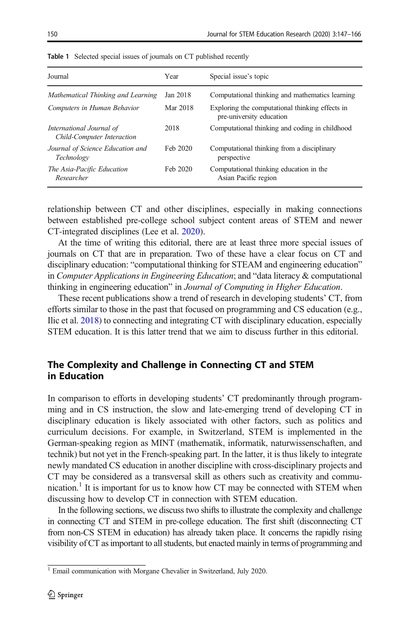| Journal                                                | Year     | Special issue's topic                                                       |
|--------------------------------------------------------|----------|-----------------------------------------------------------------------------|
| Mathematical Thinking and Learning                     | Jan 2018 | Computational thinking and mathematics learning                             |
| Computers in Human Behavior                            | Mar 2018 | Exploring the computational thinking effects in<br>pre-university education |
| International Journal of<br>Child-Computer Interaction | 2018     | Computational thinking and coding in childhood                              |
| Journal of Science Education and<br>Technology         | Feb 2020 | Computational thinking from a disciplinary<br>perspective                   |
| The Asia-Pacific Education<br>Researcher               | Feb 2020 | Computational thinking education in the<br>Asian Pacific region             |

<span id="page-3-0"></span>Table 1 Selected special issues of journals on CT published recently

relationship between CT and other disciplines, especially in making connections between established pre-college school subject content areas of STEM and newer CT-integrated disciplines (Lee et al. [2020](#page-16-0)).

At the time of writing this editorial, there are at least three more special issues of journals on CT that are in preparation. Two of these have a clear focus on CT and disciplinary education: "computational thinking for STEAM and engineering education" in Computer Applications in Engineering Education; and "data literacy & computational thinking in engineering education" in Journal of Computing in Higher Education.

These recent publications show a trend of research in developing students' CT, from efforts similar to those in the past that focused on programming and CS education (e.g., Ilic et al. [2018](#page-16-0)) to connecting and integrating CT with disciplinary education, especially STEM education. It is this latter trend that we aim to discuss further in this editorial.

# The Complexity and Challenge in Connecting CT and STEM in Education

In comparison to efforts in developing students' CT predominantly through programming and in CS instruction, the slow and late-emerging trend of developing CT in disciplinary education is likely associated with other factors, such as politics and curriculum decisions. For example, in Switzerland, STEM is implemented in the German-speaking region as MINT (mathematik, informatik, naturwissenschaften, and technik) but not yet in the French-speaking part. In the latter, it is thus likely to integrate newly mandated CS education in another discipline with cross-disciplinary projects and CT may be considered as a transversal skill as others such as creativity and communication.<sup>1</sup> It is important for us to know how CT may be connected with STEM when discussing how to develop CT in connection with STEM education.

In the following sections, we discuss two shifts to illustrate the complexity and challenge in connecting CT and STEM in pre-college education. The first shift (disconnecting CT from non-CS STEM in education) has already taken place. It concerns the rapidly rising visibility of CT as important to all students, but enacted mainly in terms of programming and

<sup>&</sup>lt;sup>1</sup> Email communication with Morgane Chevalier in Switzerland, July 2020.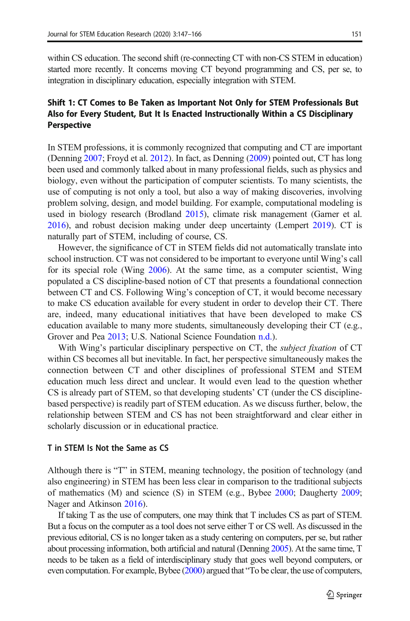within CS education. The second shift (re-connecting CT with non-CS STEM in education) started more recently. It concerns moving CT beyond programming and CS, per se, to integration in disciplinary education, especially integration with STEM.

# Shift 1: CT Comes to Be Taken as Important Not Only for STEM Professionals But Also for Every Student, But It Is Enacted Instructionally Within a CS Disciplinary **Perspective**

In STEM professions, it is commonly recognized that computing and CT are important (Denning [2007;](#page-15-0) Froyd et al. [2012\)](#page-16-0). In fact, as Denning [\(2009\)](#page-16-0) pointed out, CT has long been used and commonly talked about in many professional fields, such as physics and biology, even without the participation of computer scientists. To many scientists, the use of computing is not only a tool, but also a way of making discoveries, involving problem solving, design, and model building. For example, computational modeling is used in biology research (Brodland [2015](#page-15-0)), climate risk management (Garner et al. [2016\)](#page-16-0), and robust decision making under deep uncertainty (Lempert [2019\)](#page-16-0). CT is naturally part of STEM, including of course, CS.

However, the significance of CT in STEM fields did not automatically translate into school instruction. CT was not considered to be important to everyone until Wing's call for its special role (Wing [2006\)](#page-18-0). At the same time, as a computer scientist, Wing populated a CS discipline-based notion of CT that presents a foundational connection between CT and CS. Following Wing's conception of CT, it would become necessary to make CS education available for every student in order to develop their CT. There are, indeed, many educational initiatives that have been developed to make CS education available to many more students, simultaneously developing their CT (e.g., Grover and Pea [2013;](#page-16-0) U.S. National Science Foundation [n.d.\)](#page-18-0).

With Wing's particular disciplinary perspective on CT, the *subject fixation* of CT within CS becomes all but inevitable. In fact, her perspective simultaneously makes the connection between CT and other disciplines of professional STEM and STEM education much less direct and unclear. It would even lead to the question whether CS is already part of STEM, so that developing students' CT (under the CS disciplinebased perspective) is readily part of STEM education. As we discuss further, below, the relationship between STEM and CS has not been straightforward and clear either in scholarly discussion or in educational practice.

#### T in STEM Is Not the Same as CS

Although there is "T" in STEM, meaning technology, the position of technology (and also engineering) in STEM has been less clear in comparison to the traditional subjects of mathematics (M) and science (S) in STEM (e.g., Bybee [2000](#page-15-0); Daugherty [2009;](#page-15-0) Nager and Atkinson [2016\)](#page-17-0).

If taking T as the use of computers, one may think that T includes CS as part of STEM. But a focus on the computer as a tool does not serve either T or CS well. As discussed in the previous editorial, CS is no longer taken as a study centering on computers, per se, but rather about processing information, both artificial and natural (Denning [2005](#page-15-0)). At the same time, T needs to be taken as a field of interdisciplinary study that goes well beyond computers, or even computation. For example, Bybee [\(2000\)](#page-15-0) argued that "To be clear, the use of computers,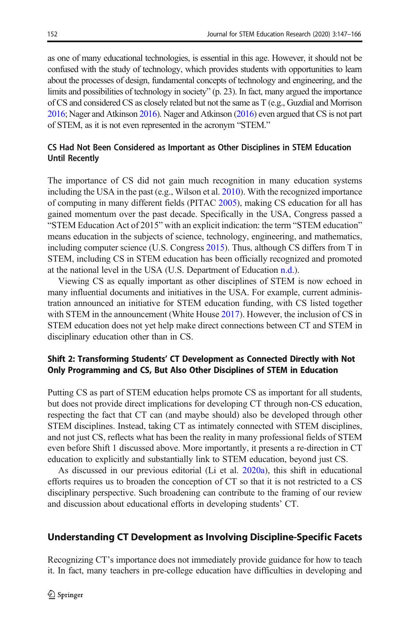as one of many educational technologies, is essential in this age. However, it should not be confused with the study of technology, which provides students with opportunities to learn about the processes of design, fundamental concepts of technology and engineering, and the limits and possibilities of technology in society" (p. 23). In fact, many argued the importance of CS and considered CS as closely related but not the same as T (e.g., Guzdial and Morrison [2016;](#page-16-0) Nager and Atkinson [2016](#page-17-0)). Nager and Atkinson ([2016](#page-17-0)) even argued that CS is not part of STEM, as it is not even represented in the acronym "STEM."

# CS Had Not Been Considered as Important as Other Disciplines in STEM Education Until Recently

The importance of CS did not gain much recognition in many education systems including the USA in the past (e.g., Wilson et al. [2010\)](#page-18-0). With the recognized importance of computing in many different fields (PITAC [2005\)](#page-17-0), making CS education for all has gained momentum over the past decade. Specifically in the USA, Congress passed a "STEM Education Act of 2015" with an explicit indication: the term "STEM education" means education in the subjects of science, technology, engineering, and mathematics, including computer science (U.S. Congress [2015\)](#page-18-0). Thus, although CS differs from T in STEM, including CS in STEM education has been officially recognized and promoted at the national level in the USA (U.S. Department of Education [n.d.\)](#page-18-0).

Viewing CS as equally important as other disciplines of STEM is now echoed in many influential documents and initiatives in the USA. For example, current administration announced an initiative for STEM education funding, with CS listed together with STEM in the announcement (White House [2017\)](#page-18-0). However, the inclusion of CS in STEM education does not yet help make direct connections between CT and STEM in disciplinary education other than in CS.

# Shift 2: Transforming Students' CT Development as Connected Directly with Not Only Programming and CS, But Also Other Disciplines of STEM in Education

Putting CS as part of STEM education helps promote CS as important for all students, but does not provide direct implications for developing CT through non-CS education, respecting the fact that CT can (and maybe should) also be developed through other STEM disciplines. Instead, taking CT as intimately connected with STEM disciplines, and not just CS, reflects what has been the reality in many professional fields of STEM even before Shift 1 discussed above. More importantly, it presents a re-direction in CT education to explicitly and substantially link to STEM education, beyond just CS.

As discussed in our previous editorial (Li et al. [2020a\)](#page-17-0), this shift in educational efforts requires us to broaden the conception of CT so that it is not restricted to a CS disciplinary perspective. Such broadening can contribute to the framing of our review and discussion about educational efforts in developing students' CT.

# Understanding CT Development as Involving Discipline-Specific Facets

Recognizing CT's importance does not immediately provide guidance for how to teach it. In fact, many teachers in pre-college education have difficulties in developing and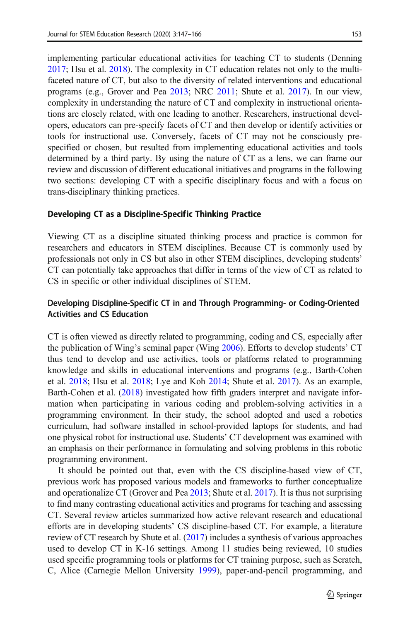implementing particular educational activities for teaching CT to students (Denning [2017;](#page-16-0) Hsu et al. [2018\)](#page-16-0). The complexity in CT education relates not only to the multifaceted nature of CT, but also to the diversity of related interventions and educational programs (e.g., Grover and Pea [2013;](#page-16-0) NRC [2011](#page-17-0); Shute et al. [2017\)](#page-18-0). In our view, complexity in understanding the nature of CT and complexity in instructional orientations are closely related, with one leading to another. Researchers, instructional developers, educators can pre-specify facets of CT and then develop or identify activities or tools for instructional use. Conversely, facets of CT may not be consciously prespecified or chosen, but resulted from implementing educational activities and tools determined by a third party. By using the nature of CT as a lens, we can frame our review and discussion of different educational initiatives and programs in the following two sections: developing CT with a specific disciplinary focus and with a focus on trans-disciplinary thinking practices.

#### Developing CT as a Discipline-Specific Thinking Practice

Viewing CT as a discipline situated thinking process and practice is common for researchers and educators in STEM disciplines. Because CT is commonly used by professionals not only in CS but also in other STEM disciplines, developing students' CT can potentially take approaches that differ in terms of the view of CT as related to CS in specific or other individual disciplines of STEM.

### Developing Discipline-Specific CT in and Through Programming- or Coding-Oriented Activities and CS Education

CT is often viewed as directly related to programming, coding and CS, especially after the publication of Wing's seminal paper (Wing [2006](#page-18-0)). Efforts to develop students' CT thus tend to develop and use activities, tools or platforms related to programming knowledge and skills in educational interventions and programs (e.g., Barth-Cohen et al. [2018;](#page-15-0) Hsu et al. [2018](#page-16-0); Lye and Koh [2014](#page-17-0); Shute et al. [2017](#page-18-0)). As an example, Barth-Cohen et al. [\(2018\)](#page-15-0) investigated how fifth graders interpret and navigate information when participating in various coding and problem-solving activities in a programming environment. In their study, the school adopted and used a robotics curriculum, had software installed in school-provided laptops for students, and had one physical robot for instructional use. Students' CT development was examined with an emphasis on their performance in formulating and solving problems in this robotic programming environment.

It should be pointed out that, even with the CS discipline-based view of CT, previous work has proposed various models and frameworks to further conceptualize and operationalize CT (Grover and Pea [2013](#page-16-0); Shute et al. [2017\)](#page-18-0). It is thus not surprising to find many contrasting educational activities and programs for teaching and assessing CT. Several review articles summarized how active relevant research and educational efforts are in developing students' CS discipline-based CT. For example, a literature review of CT research by Shute et al. ([2017](#page-18-0)) includes a synthesis of various approaches used to develop CT in K-16 settings. Among 11 studies being reviewed, 10 studies used specific programming tools or platforms for CT training purpose, such as Scratch, C, Alice (Carnegie Mellon University [1999](#page-15-0)), paper-and-pencil programming, and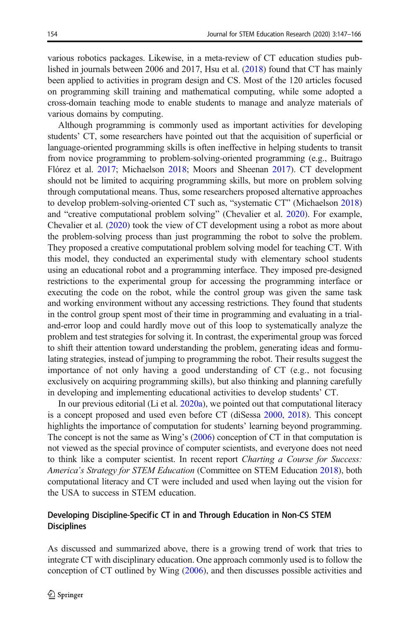various robotics packages. Likewise, in a meta-review of CT education studies published in journals between 2006 and 2017, Hsu et al. ([2018](#page-16-0)) found that CT has mainly been applied to activities in program design and CS. Most of the 120 articles focused on programming skill training and mathematical computing, while some adopted a cross-domain teaching mode to enable students to manage and analyze materials of various domains by computing.

Although programming is commonly used as important activities for developing students' CT, some researchers have pointed out that the acquisition of superficial or language-oriented programming skills is often ineffective in helping students to transit from novice programming to problem-solving-oriented programming (e.g., Buitrago Flórez et al. [2017](#page-15-0); Michaelson [2018](#page-17-0); Moors and Sheenan [2017\)](#page-17-0). CT development should not be limited to acquiring programming skills, but more on problem solving through computational means. Thus, some researchers proposed alternative approaches to develop problem-solving-oriented CT such as, "systematic CT" (Michaelson [2018](#page-17-0)) and "creative computational problem solving" (Chevalier et al. [2020\)](#page-15-0). For example, Chevalier et al. ([2020](#page-15-0)) took the view of CT development using a robot as more about the problem-solving process than just programming the robot to solve the problem. They proposed a creative computational problem solving model for teaching CT. With this model, they conducted an experimental study with elementary school students using an educational robot and a programming interface. They imposed pre-designed restrictions to the experimental group for accessing the programming interface or executing the code on the robot, while the control group was given the same task and working environment without any accessing restrictions. They found that students in the control group spent most of their time in programming and evaluating in a trialand-error loop and could hardly move out of this loop to systematically analyze the problem and test strategies for solving it. In contrast, the experimental group was forced to shift their attention toward understanding the problem, generating ideas and formulating strategies, instead of jumping to programming the robot. Their results suggest the importance of not only having a good understanding of CT (e.g., not focusing exclusively on acquiring programming skills), but also thinking and planning carefully in developing and implementing educational activities to develop students' CT.

In our previous editorial (Li et al.  $2020a$ ), we pointed out that computational literacy is a concept proposed and used even before CT (diSessa [2000,](#page-16-0) [2018](#page-16-0)). This concept highlights the importance of computation for students' learning beyond programming. The concept is not the same as Wing's [\(2006\)](#page-18-0) conception of CT in that computation is not viewed as the special province of computer scientists, and everyone does not need to think like a computer scientist. In recent report Charting a Course for Success: America's Strategy for STEM Education (Committee on STEM Education [2018\)](#page-15-0), both computational literacy and CT were included and used when laying out the vision for the USA to success in STEM education.

### Developing Discipline-Specific CT in and Through Education in Non-CS STEM **Disciplines**

As discussed and summarized above, there is a growing trend of work that tries to integrate CT with disciplinary education. One approach commonly used is to follow the conception of CT outlined by Wing [\(2006\)](#page-18-0), and then discusses possible activities and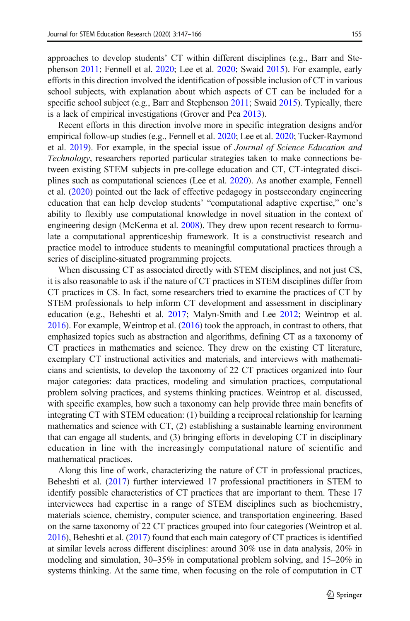approaches to develop students' CT within different disciplines (e.g., Barr and Stephenson [2011](#page-15-0); Fennell et al. [2020;](#page-16-0) Lee et al. [2020](#page-16-0); Swaid [2015](#page-18-0)). For example, early efforts in this direction involved the identification of possible inclusion of CT in various school subjects, with explanation about which aspects of CT can be included for a specific school subject (e.g., Barr and Stephenson [2011](#page-15-0); Swaid [2015\)](#page-18-0). Typically, there is a lack of empirical investigations (Grover and Pea [2013](#page-16-0)).

Recent efforts in this direction involve more in specific integration designs and/or empirical follow-up studies (e.g., Fennell et al. [2020;](#page-16-0) Lee et al. [2020;](#page-16-0) Tucker-Raymond et al. [2019](#page-18-0)). For example, in the special issue of Journal of Science Education and Technology, researchers reported particular strategies taken to make connections between existing STEM subjects in pre-college education and CT, CT-integrated disciplines such as computational sciences (Lee et al. [2020](#page-16-0)). As another example, Fennell et al. ([2020](#page-16-0)) pointed out the lack of effective pedagogy in postsecondary engineering education that can help develop students' "computational adaptive expertise," one's ability to flexibly use computational knowledge in novel situation in the context of engineering design (McKenna et al. [2008\)](#page-17-0). They drew upon recent research to formulate a computational apprenticeship framework. It is a constructivist research and practice model to introduce students to meaningful computational practices through a series of discipline-situated programming projects.

When discussing CT as associated directly with STEM disciplines, and not just CS, it is also reasonable to ask if the nature of CT practices in STEM disciplines differ from CT practices in CS. In fact, some researchers tried to examine the practices of CT by STEM professionals to help inform CT development and assessment in disciplinary education (e.g., Beheshti et al. [2017;](#page-15-0) Malyn-Smith and Lee [2012;](#page-17-0) Weintrop et al. [2016\)](#page-18-0). For example, Weintrop et al. [\(2016\)](#page-18-0) took the approach, in contrast to others, that emphasized topics such as abstraction and algorithms, defining CT as a taxonomy of CT practices in mathematics and science. They drew on the existing CT literature, exemplary CT instructional activities and materials, and interviews with mathematicians and scientists, to develop the taxonomy of 22 CT practices organized into four major categories: data practices, modeling and simulation practices, computational problem solving practices, and systems thinking practices. Weintrop et al. discussed, with specific examples, how such a taxonomy can help provide three main benefits of integrating CT with STEM education: (1) building a reciprocal relationship for learning mathematics and science with CT, (2) establishing a sustainable learning environment that can engage all students, and (3) bringing efforts in developing CT in disciplinary education in line with the increasingly computational nature of scientific and mathematical practices.

Along this line of work, characterizing the nature of CT in professional practices, Beheshti et al. [\(2017\)](#page-15-0) further interviewed 17 professional practitioners in STEM to identify possible characteristics of CT practices that are important to them. These 17 interviewees had expertise in a range of STEM disciplines such as biochemistry, materials science, chemistry, computer science, and transportation engineering. Based on the same taxonomy of 22 CT practices grouped into four categories (Weintrop et al. [2016\)](#page-18-0), Beheshti et al. [\(2017\)](#page-15-0) found that each main category of CT practices is identified at similar levels across different disciplines: around 30% use in data analysis, 20% in modeling and simulation, 30–35% in computational problem solving, and 15–20% in systems thinking. At the same time, when focusing on the role of computation in CT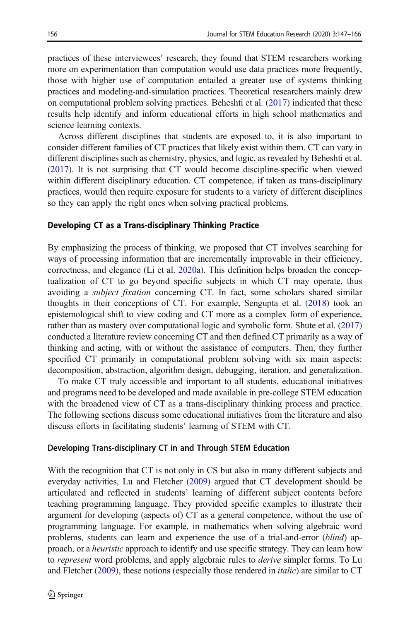practices of these interviewees' research, they found that STEM researchers working more on experimentation than computation would use data practices more frequently, those with higher use of computation entailed a greater use of systems thinking practices and modeling-and-simulation practices. Theoretical researchers mainly drew on computational problem solving practices. Beheshti et al.  $(2017)$  indicated that these results help identify and inform educational efforts in high school mathematics and science learning contexts.

Across different disciplines that students are exposed to, it is also important to consider different families of CT practices that likely exist within them. CT can vary in different disciplines such as chemistry, physics, and logic, as revealed by Beheshti et al. [\(2017\)](#page-15-0). It is not surprising that CT would become discipline-specific when viewed within different disciplinary education. CT competence, if taken as trans-disciplinary practices, would then require exposure for students to a variety of different disciplines so they can apply the right ones when solving practical problems.

#### Developing CT as a Trans-disciplinary Thinking Practice

By emphasizing the process of thinking, we proposed that CT involves searching for ways of processing information that are incrementally improvable in their efficiency, correctness, and elegance (Li et al. [2020a](#page-17-0)). This definition helps broaden the conceptualization of CT to go beyond specific subjects in which CT may operate, thus avoiding a subject fixation concerning CT. In fact, some scholars shared similar thoughts in their conceptions of CT. For example, Sengupta et al. [\(2018\)](#page-18-0) took an epistemological shift to view coding and CT more as a complex form of experience, rather than as mastery over computational logic and symbolic form. Shute et al. ([2017](#page-18-0)) conducted a literature review concerning CT and then defined CT primarily as a way of thinking and acting, with or without the assistance of computers. Then, they further specified CT primarily in computational problem solving with six main aspects: decomposition, abstraction, algorithm design, debugging, iteration, and generalization.

To make CT truly accessible and important to all students, educational initiatives and programs need to be developed and made available in pre-college STEM education with the broadened view of CT as a trans-disciplinary thinking process and practice. The following sections discuss some educational initiatives from the literature and also discuss efforts in facilitating students' learning of STEM with CT.

#### Developing Trans-disciplinary CT in and Through STEM Education

With the recognition that CT is not only in CS but also in many different subjects and everyday activities, Lu and Fletcher [\(2009\)](#page-17-0) argued that CT development should be articulated and reflected in students' learning of different subject contents before teaching programming language. They provided specific examples to illustrate their argument for developing (aspects of) CT as a general competence, without the use of programming language. For example, in mathematics when solving algebraic word problems, students can learn and experience the use of a trial-and-error (blind) approach, or a heuristic approach to identify and use specific strategy. They can learn how to *represent* word problems, and apply algebraic rules to *derive* simpler forms. To Lu and Fletcher [\(2009\)](#page-17-0), these notions (especially those rendered in *italic*) are similar to CT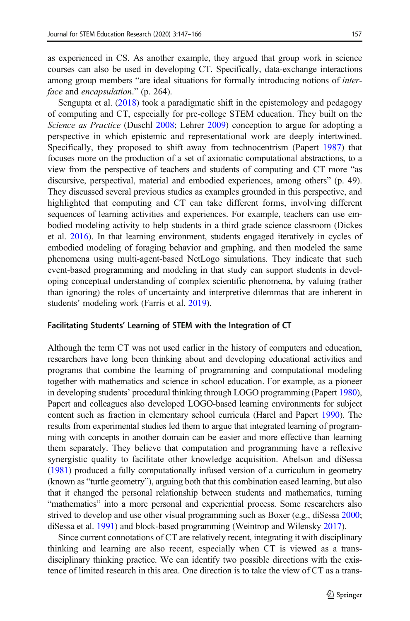as experienced in CS. As another example, they argued that group work in science courses can also be used in developing CT. Specifically, data-exchange interactions among group members "are ideal situations for formally introducing notions of interface and encapsulation." (p. 264).

Sengupta et al. ([2018](#page-18-0)) took a paradigmatic shift in the epistemology and pedagogy of computing and CT, especially for pre-college STEM education. They built on the Science as Practice (Duschl [2008;](#page-16-0) Lehrer [2009](#page-16-0)) conception to argue for adopting a perspective in which epistemic and representational work are deeply intertwined. Specifically, they proposed to shift away from technocentrism (Papert [1987\)](#page-17-0) that focuses more on the production of a set of axiomatic computational abstractions, to a view from the perspective of teachers and students of computing and CT more "as discursive, perspectival, material and embodied experiences, among others" (p. 49). They discussed several previous studies as examples grounded in this perspective, and highlighted that computing and CT can take different forms, involving different sequences of learning activities and experiences. For example, teachers can use embodied modeling activity to help students in a third grade science classroom (Dickes et al. [2016\)](#page-16-0). In that learning environment, students engaged iteratively in cycles of embodied modeling of foraging behavior and graphing, and then modeled the same phenomena using multi-agent-based NetLogo simulations. They indicate that such event-based programming and modeling in that study can support students in developing conceptual understanding of complex scientific phenomena, by valuing (rather than ignoring) the roles of uncertainty and interpretive dilemmas that are inherent in students' modeling work (Farris et al. [2019](#page-16-0)).

#### Facilitating Students' Learning of STEM with the Integration of CT

Although the term CT was not used earlier in the history of computers and education, researchers have long been thinking about and developing educational activities and programs that combine the learning of programming and computational modeling together with mathematics and science in school education. For example, as a pioneer in developing students' procedural thinking through LOGO programming (Papert [1980\)](#page-17-0), Papert and colleagues also developed LOGO-based learning environments for subject content such as fraction in elementary school curricula (Harel and Papert [1990](#page-16-0)). The results from experimental studies led them to argue that integrated learning of programming with concepts in another domain can be easier and more effective than learning them separately. They believe that computation and programming have a reflexive synergistic quality to facilitate other knowledge acquisition. Abelson and diSessa [\(1981](#page-15-0)) produced a fully computationally infused version of a curriculum in geometry (known as "turtle geometry"), arguing both that this combination eased learning, but also that it changed the personal relationship between students and mathematics, turning "mathematics" into a more personal and experiential process. Some researchers also strived to develop and use other visual programming such as Boxer (e.g., diSessa [2000;](#page-16-0) diSessa et al. [1991\)](#page-16-0) and block-based programming (Weintrop and Wilensky [2017](#page-18-0)).

Since current connotations of CT are relatively recent, integrating it with disciplinary thinking and learning are also recent, especially when CT is viewed as a transdisciplinary thinking practice. We can identify two possible directions with the existence of limited research in this area. One direction is to take the view of CT as a trans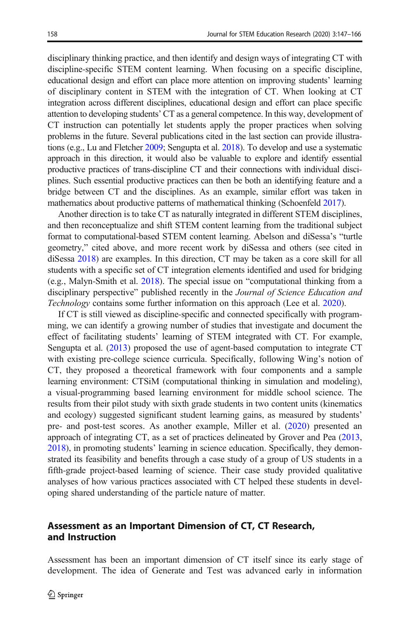disciplinary thinking practice, and then identify and design ways of integrating CT with discipline-specific STEM content learning. When focusing on a specific discipline, educational design and effort can place more attention on improving students' learning of disciplinary content in STEM with the integration of CT. When looking at CT integration across different disciplines, educational design and effort can place specific attention to developing students' CT as a general competence. In this way, development of CT instruction can potentially let students apply the proper practices when solving problems in the future. Several publications cited in the last section can provide illustrations (e.g., Lu and Fletcher [2009;](#page-17-0) Sengupta et al. [2018](#page-18-0)). To develop and use a systematic approach in this direction, it would also be valuable to explore and identify essential productive practices of trans-discipline CT and their connections with individual disciplines. Such essential productive practices can then be both an identifying feature and a bridge between CT and the disciplines. As an example, similar effort was taken in mathematics about productive patterns of mathematical thinking (Schoenfeld [2017\)](#page-18-0).

Another direction is to take CT as naturally integrated in different STEM disciplines, and then reconceptualize and shift STEM content learning from the traditional subject format to computational-based STEM content learning. Abelson and diSessa's "turtle geometry," cited above, and more recent work by diSessa and others (see cited in diSessa [2018\)](#page-16-0) are examples. In this direction, CT may be taken as a core skill for all students with a specific set of CT integration elements identified and used for bridging (e.g., Malyn-Smith et al. [2018\)](#page-17-0). The special issue on "computational thinking from a disciplinary perspective" published recently in the Journal of Science Education and Technology contains some further information on this approach (Lee et al. [2020\)](#page-16-0).

If CT is still viewed as discipline-specific and connected specifically with programming, we can identify a growing number of studies that investigate and document the effect of facilitating students' learning of STEM integrated with CT. For example, Sengupta et al. [\(2013\)](#page-18-0) proposed the use of agent-based computation to integrate CT with existing pre-college science curricula. Specifically, following Wing's notion of CT, they proposed a theoretical framework with four components and a sample learning environment: CTSiM (computational thinking in simulation and modeling), a visual-programming based learning environment for middle school science. The results from their pilot study with sixth grade students in two content units (kinematics and ecology) suggested significant student learning gains, as measured by students' pre- and post-test scores. As another example, Miller et al. ([2020\)](#page-17-0) presented an approach of integrating CT, as a set of practices delineated by Grover and Pea [\(2013,](#page-16-0) [2018\)](#page-16-0), in promoting students' learning in science education. Specifically, they demonstrated its feasibility and benefits through a case study of a group of US students in a fifth-grade project-based learning of science. Their case study provided qualitative analyses of how various practices associated with CT helped these students in developing shared understanding of the particle nature of matter.

# Assessment as an Important Dimension of CT, CT Research, and Instruction

Assessment has been an important dimension of CT itself since its early stage of development. The idea of Generate and Test was advanced early in information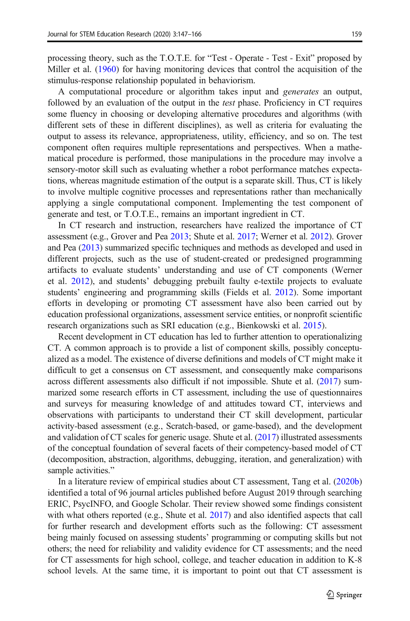processing theory, such as the T.O.T.E. for "Test - Operate - Test - Exit" proposed by Miller et al. [\(1960](#page-17-0)) for having monitoring devices that control the acquisition of the stimulus-response relationship populated in behaviorism.

A computational procedure or algorithm takes input and generates an output, followed by an evaluation of the output in the test phase. Proficiency in CT requires some fluency in choosing or developing alternative procedures and algorithms (with different sets of these in different disciplines), as well as criteria for evaluating the output to assess its relevance, appropriateness, utility, efficiency, and so on. The test component often requires multiple representations and perspectives. When a mathematical procedure is performed, those manipulations in the procedure may involve a sensory-motor skill such as evaluating whether a robot performance matches expectations, whereas magnitude estimation of the output is a separate skill. Thus, CT is likely to involve multiple cognitive processes and representations rather than mechanically applying a single computational component. Implementing the test component of generate and test, or T.O.T.E., remains an important ingredient in CT.

In CT research and instruction, researchers have realized the importance of CT assessment (e.g., Grover and Pea [2013](#page-16-0); Shute et al. [2017](#page-18-0); Werner et al. [2012\)](#page-18-0). Grover and Pea [\(2013\)](#page-16-0) summarized specific techniques and methods as developed and used in different projects, such as the use of student-created or predesigned programming artifacts to evaluate students' understanding and use of CT components (Werner et al. [2012](#page-18-0)), and students' debugging prebuilt faulty e-textile projects to evaluate students' engineering and programming skills (Fields et al. [2012\)](#page-16-0). Some important efforts in developing or promoting CT assessment have also been carried out by education professional organizations, assessment service entities, or nonprofit scientific research organizations such as SRI education (e.g., Bienkowski et al. [2015\)](#page-15-0).

Recent development in CT education has led to further attention to operationalizing CT. A common approach is to provide a list of component skills, possibly conceptualized as a model. The existence of diverse definitions and models of CT might make it difficult to get a consensus on CT assessment, and consequently make comparisons across different assessments also difficult if not impossible. Shute et al. ([2017](#page-18-0)) summarized some research efforts in CT assessment, including the use of questionnaires and surveys for measuring knowledge of and attitudes toward CT, interviews and observations with participants to understand their CT skill development, particular activity-based assessment (e.g., Scratch-based, or game-based), and the development and validation of CT scales for generic usage. Shute et al. [\(2017\)](#page-18-0) illustrated assessments of the conceptual foundation of several facets of their competency-based model of CT (decomposition, abstraction, algorithms, debugging, iteration, and generalization) with sample activities."

In a literature review of empirical studies about CT assessment, Tang et al. ([2020b](#page-18-0)) identified a total of 96 journal articles published before August 2019 through searching ERIC, PsycINFO, and Google Scholar. Their review showed some findings consistent with what others reported (e.g., Shute et al. [2017](#page-18-0)) and also identified aspects that call for further research and development efforts such as the following: CT assessment being mainly focused on assessing students' programming or computing skills but not others; the need for reliability and validity evidence for CT assessments; and the need for CT assessments for high school, college, and teacher education in addition to K-8 school levels. At the same time, it is important to point out that CT assessment is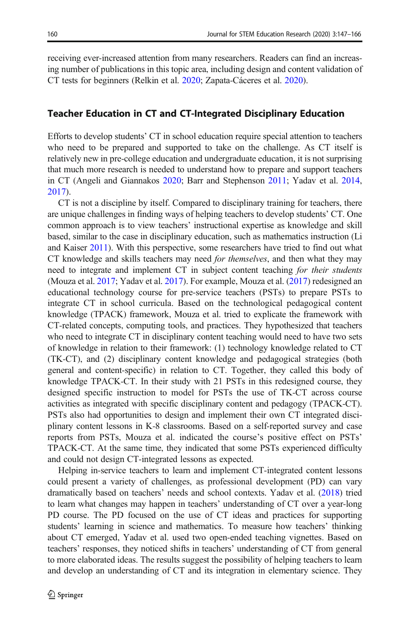receiving ever-increased attention from many researchers. Readers can find an increasing number of publications in this topic area, including design and content validation of CT tests for beginners (Relkin et al. [2020;](#page-17-0) Zapata-Cáceres et al. [2020\)](#page-18-0).

### Teacher Education in CT and CT-Integrated Disciplinary Education

Efforts to develop students' CT in school education require special attention to teachers who need to be prepared and supported to take on the challenge. As CT itself is relatively new in pre-college education and undergraduate education, it is not surprising that much more research is needed to understand how to prepare and support teachers in CT (Angeli and Giannakos [2020](#page-15-0); Barr and Stephenson [2011](#page-15-0); Yadav et al. [2014,](#page-18-0) [2017\)](#page-18-0).

CT is not a discipline by itself. Compared to disciplinary training for teachers, there are unique challenges in finding ways of helping teachers to develop students' CT. One common approach is to view teachers' instructional expertise as knowledge and skill based, similar to the case in disciplinary education, such as mathematics instruction (Li and Kaiser [2011\)](#page-17-0). With this perspective, some researchers have tried to find out what CT knowledge and skills teachers may need for themselves, and then what they may need to integrate and implement CT in subject content teaching for their students (Mouza et al. [2017;](#page-17-0) Yadav et al. [2017](#page-18-0)). For example, Mouza et al. [\(2017\)](#page-17-0) redesigned an educational technology course for pre-service teachers (PSTs) to prepare PSTs to integrate CT in school curricula. Based on the technological pedagogical content knowledge (TPACK) framework, Mouza et al. tried to explicate the framework with CT-related concepts, computing tools, and practices. They hypothesized that teachers who need to integrate CT in disciplinary content teaching would need to have two sets of knowledge in relation to their framework: (1) technology knowledge related to CT (TK-CT), and (2) disciplinary content knowledge and pedagogical strategies (both general and content-specific) in relation to CT. Together, they called this body of knowledge TPACK-CT. In their study with 21 PSTs in this redesigned course, they designed specific instruction to model for PSTs the use of TK-CT across course activities as integrated with specific disciplinary content and pedagogy (TPACK-CT). PSTs also had opportunities to design and implement their own CT integrated disciplinary content lessons in K-8 classrooms. Based on a self-reported survey and case reports from PSTs, Mouza et al. indicated the course's positive effect on PSTs' TPACK-CT. At the same time, they indicated that some PSTs experienced difficulty and could not design CT-integrated lessons as expected.

Helping in-service teachers to learn and implement CT-integrated content lessons could present a variety of challenges, as professional development (PD) can vary dramatically based on teachers' needs and school contexts. Yadav et al. ([2018](#page-18-0)) tried to learn what changes may happen in teachers' understanding of CT over a year-long PD course. The PD focused on the use of CT ideas and practices for supporting students' learning in science and mathematics. To measure how teachers' thinking about CT emerged, Yadav et al. used two open-ended teaching vignettes. Based on teachers' responses, they noticed shifts in teachers' understanding of CT from general to more elaborated ideas. The results suggest the possibility of helping teachers to learn and develop an understanding of CT and its integration in elementary science. They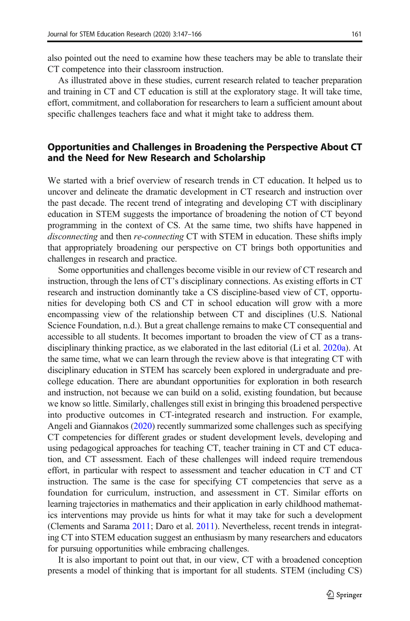also pointed out the need to examine how these teachers may be able to translate their CT competence into their classroom instruction.

As illustrated above in these studies, current research related to teacher preparation and training in CT and CT education is still at the exploratory stage. It will take time, effort, commitment, and collaboration for researchers to learn a sufficient amount about specific challenges teachers face and what it might take to address them.

# Opportunities and Challenges in Broadening the Perspective About CT and the Need for New Research and Scholarship

We started with a brief overview of research trends in CT education. It helped us to uncover and delineate the dramatic development in CT research and instruction over the past decade. The recent trend of integrating and developing CT with disciplinary education in STEM suggests the importance of broadening the notion of CT beyond programming in the context of CS. At the same time, two shifts have happened in disconnecting and then re-connecting CT with STEM in education. These shifts imply that appropriately broadening our perspective on CT brings both opportunities and challenges in research and practice.

Some opportunities and challenges become visible in our review of CT research and instruction, through the lens of CT's disciplinary connections. As existing efforts in CT research and instruction dominantly take a CS discipline-based view of CT, opportunities for developing both CS and CT in school education will grow with a more encompassing view of the relationship between CT and disciplines (U.S. National Science Foundation, n.d.). But a great challenge remains to make CT consequential and accessible to all students. It becomes important to broaden the view of CT as a transdisciplinary thinking practice, as we elaborated in the last editorial (Li et al. [2020a](#page-17-0)). At the same time, what we can learn through the review above is that integrating CT with disciplinary education in STEM has scarcely been explored in undergraduate and precollege education. There are abundant opportunities for exploration in both research and instruction, not because we can build on a solid, existing foundation, but because we know so little. Similarly, challenges still exist in bringing this broadened perspective into productive outcomes in CT-integrated research and instruction. For example, Angeli and Giannakos [\(2020\)](#page-15-0) recently summarized some challenges such as specifying CT competencies for different grades or student development levels, developing and using pedagogical approaches for teaching CT, teacher training in CT and CT education, and CT assessment. Each of these challenges will indeed require tremendous effort, in particular with respect to assessment and teacher education in CT and CT instruction. The same is the case for specifying CT competencies that serve as a foundation for curriculum, instruction, and assessment in CT. Similar efforts on learning trajectories in mathematics and their application in early childhood mathematics interventions may provide us hints for what it may take for such a development (Clements and Sarama [2011](#page-15-0); Daro et al. [2011](#page-15-0)). Nevertheless, recent trends in integrating CT into STEM education suggest an enthusiasm by many researchers and educators for pursuing opportunities while embracing challenges.

It is also important to point out that, in our view, CT with a broadened conception presents a model of thinking that is important for all students. STEM (including CS)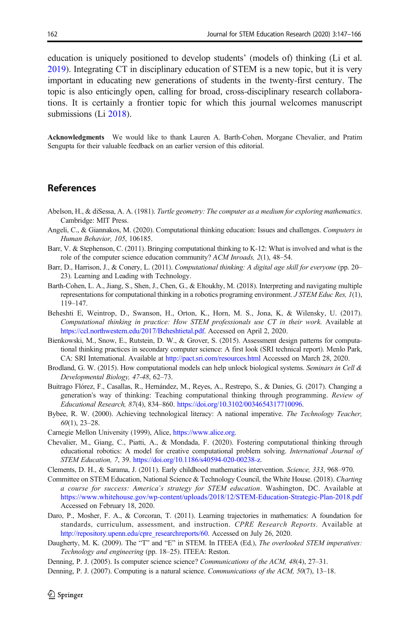<span id="page-15-0"></span>education is uniquely positioned to develop students' (models of) thinking (Li et al. [2019\)](#page-17-0). Integrating CT in disciplinary education of STEM is a new topic, but it is very important in educating new generations of students in the twenty-first century. The topic is also enticingly open, calling for broad, cross-disciplinary research collaborations. It is certainly a frontier topic for which this journal welcomes manuscript submissions (Li [2018\)](#page-16-0).

Acknowledgments We would like to thank Lauren A. Barth-Cohen, Morgane Chevalier, and Pratim Sengupta for their valuable feedback on an earlier version of this editorial.

### References

- Abelson, H., & diSessa, A. A. (1981). Turtle geometry: The computer as a medium for exploring mathematics. Cambridge: MIT Press.
- Angeli, C., & Giannakos, M. (2020). Computational thinking education: Issues and challenges. Computers in Human Behavior, 105, 106185.
- Barr, V. & Stephenson, C. (2011). Bringing computational thinking to K-12: What is involved and what is the role of the computer science education community? ACM Inroads, 2(1), 48–54.
- Barr, D., Harrison, J., & Conery, L. (2011). Computational thinking: A digital age skill for everyone (pp. 20– 23). Learning and Leading with Technology.
- Barth-Cohen, L. A., Jiang, S., Shen, J., Chen, G., & Eltoukhy, M. (2018). Interpreting and navigating multiple representations for computational thinking in a robotics programing environment. J STEM Educ Res, 1(1), 119–147.
- Beheshti E, Weintrop, D., Swanson, H., Orton, K., Horn, M. S., Jona, K, & Wilensky, U. (2017). Computational thinking in practice: How STEM professionals use CT in their work. Available at [https://ccl.northwestern.edu/2017/Beheshtietal.pdf.](https://ccl.northwestern.edu/2017/Beheshtietal.pdf) Accessed on April 2, 2020.
- Bienkowski, M., Snow, E., Rutstein, D. W., & Grover, S. (2015). Assessment design patterns for computational thinking practices in secondary computer science: A first look (SRI technical report). Menlo Park, CA: SRI International. Available at <http://pact.sri.com/resources.html> Accessed on March 28, 2020.
- Brodland, G. W. (2015). How computational models can help unlock biological systems. Seminars in Cell & Developmental Biology, 47-48, 62–73.
- Buitrago Flórez, F., Casallas, R., Hernández, M., Reyes, A., Restrepo, S., & Danies, G. (2017). Changing a generation's way of thinking: Teaching computational thinking through programming. Review of Educational Research, 87(4), 834–860. [https://doi.org/10.3102/0034654317710096.](https://doi.org/10.3102/0034654317710096)
- Bybee, R. W. (2000). Achieving technological literacy: A national imperative. The Technology Teacher,  $60(1)$ , 23-28.
- Carnegie Mellon University (1999), Alice, [https://www.alice.org.](https://www.alice.org/)
- Chevalier, M., Giang, C., Piatti, A., & Mondada, F. (2020). Fostering computational thinking through educational robotics: A model for creative computational problem solving. International Journal of STEM Education, 7, 39. [https://doi.org/10.1186/s40594-020-00238-z.](https://doi.org/10.1186/s40594-020-00238-z)
- Clements, D. H., & Sarama, J. (2011). Early childhood mathematics intervention. Science, 333, 968–970.
- Committee on STEM Education, National Science & Technology Council, the White House. (2018). Charting a course for success: America's strategy for STEM education. Washington, DC. Available at <https://www.whitehouse.gov/wp-content/uploads/2018/12/STEM-Education-Strategic-Plan-2018.pdf> Accessed on February 18, 2020.
- Daro, P., Mosher, F. A., & Corcoran, T. (2011). Learning trajectories in mathematics: A foundation for standards, curriculum, assessment, and instruction. CPRE Research Reports. Available at [http://repository.upenn.edu/cpre\\_researchreports/60.](http://repository.upenn.edu/cpre_researchreports/60) Accessed on July 26, 2020.
- Daugherty, M. K. (2009). The "T" and "E" in STEM. In ITEEA (Ed.), The overlooked STEM imperatives: Technology and engineering (pp. 18–25). ITEEA: Reston.

Denning, P. J. (2005). Is computer science science? Communications of the ACM, 48(4), 27–31.

Denning, P. J. (2007). Computing is a natural science. Communications of the ACM, 50(7), 13–18.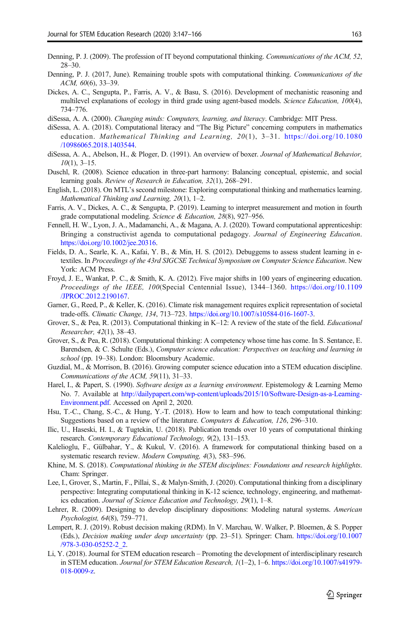- <span id="page-16-0"></span>Denning, P. J. (2009). The profession of IT beyond computational thinking. Communications of the ACM, 52, 28–30.
- Denning, P. J. (2017, June). Remaining trouble spots with computational thinking. Communications of the ACM, 60(6), 33–39.
- Dickes, A. C., Sengupta, P., Farris, A. V., & Basu, S. (2016). Development of mechanistic reasoning and multilevel explanations of ecology in third grade using agent-based models. Science Education, 100(4), 734–776.
- diSessa, A. A. (2000). Changing minds: Computers, learning, and literacy. Cambridge: MIT Press.
- diSessa, A. A. (2018). Computational literacy and "The Big Picture" concerning computers in mathematics education. Mathematical Thinking and Learning, 20(1), 3–31. [https://doi.org/10.1080](https://doi.org/10.1080/10986065.2018.1403544) [/10986065.2018.1403544](https://doi.org/10.1080/10986065.2018.1403544).
- diSessa, A. A., Abelson, H., & Ploger, D. (1991). An overview of boxer. Journal of Mathematical Behavior,  $10(1)$ , 3–15.
- Duschl, R. (2008). Science education in three-part harmony: Balancing conceptual, epistemic, and social learning goals. Review of Research in Education, 32(1), 268–291.
- English, L. (2018). On MTL's second milestone: Exploring computational thinking and mathematics learning. Mathematical Thinking and Learning, 20(1), 1–2.
- Farris, A. V., Dickes, A. C., & Sengupta, P. (2019). Learning to interpret measurement and motion in fourth grade computational modeling. Science & Education, 28(8), 927–956.
- Fennell, H. W., Lyon, J. A., Madamanchi, A., & Magana, A. J. (2020). Toward computational apprenticeship: Bringing a constructivist agenda to computational pedagogy. Journal of Engineering Education. <https://doi.org/10.1002/jee.20316>.
- Fields, D. A., Searle, K. A., Kafai, Y. B., & Min, H. S. (2012). Debuggems to assess student learning in etextiles. In Proceedings of the 43rd SIGCSE Technical Symposium on Computer Science Education. New York: ACM Press.
- Froyd, J. E., Wankat, P. C., & Smith, K. A. (2012). Five major shifts in 100 years of engineering education. Proceedings of the IEEE, 100(Special Centennial Issue), 1344–1360. [https://doi.org/10.1109](https://doi.org/10.1109/JPROC.2012.2190167) [/JPROC.2012.2190167.](https://doi.org/10.1109/JPROC.2012.2190167)
- Garner, G., Reed, P., & Keller, K. (2016). Climate risk management requires explicit representation of societal trade-offs. Climatic Change, 134, 713–723. [https://doi.org/10.1007/s10584-016-1607-3.](https://doi.org/10.1007/s10584-016-1607-3)
- Grover, S., & Pea, R. (2013). Computational thinking in K–12: A review of the state of the field. *Educational* Researcher, 42(1), 38–43.
- Grover, S., & Pea, R. (2018). Computational thinking: A competency whose time has come. In S. Sentance, E. Barendsen, & C. Schulte (Eds.), Computer science education: Perspectives on teaching and learning in school (pp. 19–38). London: Bloomsbury Academic.
- Guzdial, M., & Morrison, B. (2016). Growing computer science education into a STEM education discipline. Communications of the ACM, 59(11), 31–33.
- Harel, I., & Papert, S. (1990). Software design as a learning environment. Epistemology & Learning Memo No. 7. Available at [http://dailypapert.com/wp-content/uploads/2015/10/Software-Design-as-a-Learning-](http://dailypapert.com/wp-content/uploads/2015/10/Software-Design-as-a-Learning-Environment.pdf)[Environment.pdf](http://dailypapert.com/wp-content/uploads/2015/10/Software-Design-as-a-Learning-Environment.pdf). Accessed on April 2, 2020.
- Hsu, T.-C., Chang, S.-C., & Hung, Y.-T. (2018). How to learn and how to teach computational thinking: Suggestions based on a review of the literature. Computers & Education, 126, 296–310.
- Ilic, U., Haseski, H. I., & Tugtekin, U. (2018). Publication trends over 10 years of computational thinking research. Contemporary Educational Technology, 9(2), 131–153.
- Kalelioglu, F., Gülbahar, Y., & Kukul, V. (2016). A framework for computational thinking based on a systematic research review. Modern Computing, 4(3), 583–596.
- Khine, M. S. (2018). Computational thinking in the STEM disciplines: Foundations and research highlights. Cham: Springer.
- Lee, I., Grover, S., Martin, F., Pillai, S., & Malyn-Smith, J. (2020). Computational thinking from a disciplinary perspective: Integrating computational thinking in K-12 science, technology, engineering, and mathematics education. Journal of Science Education and Technology, 29(1), 1–8.
- Lehrer, R. (2009). Designing to develop disciplinary dispositions: Modeling natural systems. American Psychologist, 64(8), 759–771.
- Lempert, R. J. (2019). Robust decision making (RDM). In V. Marchau, W. Walker, P. Bloemen, & S. Popper (Eds.), Decision making under deep uncertainty (pp. 23–51). Springer: Cham. [https://doi.org/10.1007](https://doi.org/10.1007/978-3-030-05252-2_2) [/978-3-030-05252-2\\_2.](https://doi.org/10.1007/978-3-030-05252-2_2)
- Li, Y. (2018). Journal for STEM education research Promoting the development of interdisciplinary research in STEM education. Journal for STEM Education Research, 1(1–2), 1–6. [https://doi.org/10.1007/s41979-](https://doi.org/10.1007/s41979-018-0009-z) [018-0009-z](https://doi.org/10.1007/s41979-018-0009-z).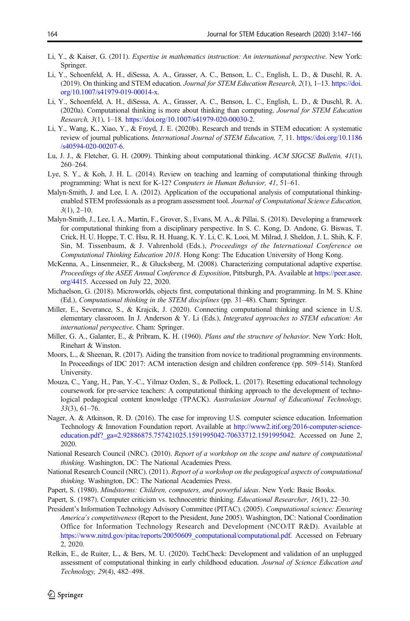- <span id="page-17-0"></span>Li, Y., & Kaiser, G. (2011). Expertise in mathematics instruction: An international perspective. New York: Springer.
- Li, Y., Schoenfeld, A. H., diSessa, A. A., Grasser, A. C., Benson, L. C., English, L. D., & Duschl, R. A. (2019). On thinking and STEM education. Journal for STEM Education Research, 2(1), 1–13. [https://doi.](https://doi.org/10.1007/s41979-019-00014-x) [org/10.1007/s41979-019-00014-x](https://doi.org/10.1007/s41979-019-00014-x).
- Li, Y., Schoenfeld, A. H., diSessa, A. A., Grasser, A. C., Benson, L. C., English, L. D., & Duschl, R. A. (2020a). Computational thinking is more about thinking than computing. Journal for STEM Education Research, 3(1), 1–18. <https://doi.org/10.1007/s41979-020-00030-2>.
- Li, Y., Wang, K., Xiao, Y., & Froyd, J. E. (2020b). Research and trends in STEM education: A systematic review of journal publications. International Journal of STEM Education, 7, 11. [https://doi.org/10.1186](https://doi.org/10.1186/s40594-020-00207-6) [/s40594-020-00207-6.](https://doi.org/10.1186/s40594-020-00207-6)
- Lu, J. J., & Fletcher, G. H. (2009). Thinking about computational thinking. ACM SIGCSE Bulletin, 41(1), 260–264.
- Lye, S. Y., & Koh, J. H. L. (2014). Review on teaching and learning of computational thinking through programming: What is next for K-12? Computers in Human Behavior, 41, 51–61.
- Malyn-Smith, J. and Lee, I. A. (2012). Application of the occupational analysis of computational thinkingenabled STEM professionals as a program assessment tool. Journal of Computational Science Education,  $3(1)$ ,  $2-10$ .
- Malyn-Smith, J., Lee, I. A., Martin, F., Grover, S., Evans, M. A., & Pillai, S. (2018). Developing a framework for computational thinking from a disciplinary perspective. In S. C. Kong, D. Andone, G. Biswas, T. Crick, H. U. Hoppe, T. C. Hsu, R. H. Huang, K. Y. Li, C. K. Looi, M. Milrad, J. Sheldon, J. L. Shih, K. F. Sin, M. Tissenbaum, & J. Vahrenhold (Eds.), Proceedings of the International Conference on Computational Thinking Education 2018. Hong Kong: The Education University of Hong Kong.
- McKenna, A., Linsenmeier, R., & Glucksberg, M. (2008). Characterizing computational adaptive expertise. Proceedings of the ASEE Annual Conference & Exposition, Pittsburgh, PA. Available at [https://peer.asee.](https://peer.asee.org/4415) [org/4415.](https://peer.asee.org/4415) Accessed on July 22, 2020.
- Michaelson, G. (2018). Microworlds, objects first, computational thinking and programming. In M. S. Khine (Ed.), Computational thinking in the STEM disciplines (pp. 31–48). Cham: Springer.
- Miller, E., Severance, S., & Krajcik, J. (2020). Connecting computational thinking and science in U.S. elementary classroom. In J. Anderson & Y. Li (Eds.), Integrated approaches to STEM education: An international perspective. Cham: Springer.
- Miller, G. A., Galanter, E., & Pribram, K. H. (1960). Plans and the structure of behavior. New York: Holt, Rinehart & Winston.
- Moors, L., & Sheenan, R. (2017). Aiding the transition from novice to traditional programming environments. In Proceedings of IDC 2017: ACM interaction design and children conference (pp. 509–514). Stanford University.
- Mouza, C., Yang, H., Pan, Y.-C., Yilmaz Ozden, S., & Pollock, L. (2017). Resetting educational technology coursework for pre-service teachers: A computational thinking approach to the development of technological pedagogical content knowledge (TPACK). Australasian Journal of Educational Technology, 33(3), 61–76.
- Nager, A. & Atkinson, R. D. (2016). The case for improving U.S. computer science education. Information Technology & Innovation Foundation report. Available at [http://www2.itif.org/2016-computer-science](http://www2.itif.org/2016-computer-science-education.pdf?_ga=2.92886875.757421025.1591995042-70633712.1591995042)[education.pdf?\\_ga=2.92886875.757421025.1591995042-70633712.1591995042](http://www2.itif.org/2016-computer-science-education.pdf?_ga=2.92886875.757421025.1591995042-70633712.1591995042). Accessed on June 2, 2020.
- National Research Council (NRC). (2010). Report of a workshop on the scope and nature of computational thinking. Washington, DC: The National Academies Press.
- National Research Council (NRC). (2011). Report of a workshop on the pedagogical aspects of computational thinking. Washington, DC: The National Academies Press.
- Papert, S. (1980). Mindstorms: Children, computers, and powerful ideas. New York: Basic Books.
- Papert, S. (1987). Computer criticism vs. technocentric thinking. *Educational Researcher*, 16(1), 22–30.
- President's Information Technology Advisory Committee (PITAC). (2005). Computational science: Ensuring America's competitiveness (Report to the President, June 2005). Washington, DC: National Coordination Office for Information Technology Research and Development (NCO/IT R&D). Available at [https://www.nitrd.gov/pitac/reports/20050609\\_computational/computational.pdf](https://www.nitrd.gov/pitac/reports/20050609_computational/computational.pdf). Accessed on February 2, 2020.
- Relkin, E., de Ruiter, L., & Bers, M. U. (2020). TechCheck: Development and validation of an unplugged assessment of computational thinking in early childhood education. Journal of Science Education and Technology, 29(4), 482–498.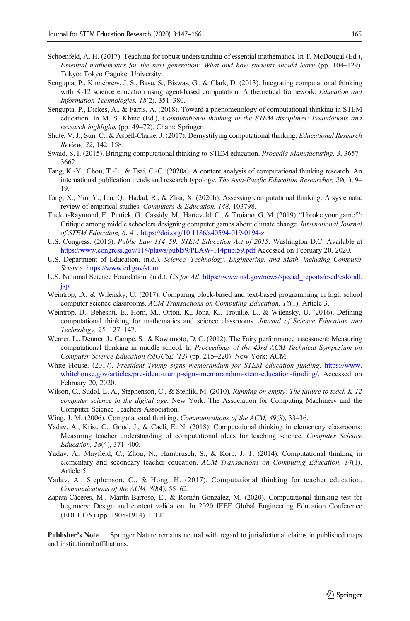- <span id="page-18-0"></span>Schoenfeld, A. H. (2017). Teaching for robust understanding of essential mathematics. In T. McDougal (Ed.), Essential mathematics for the next generation: What and how students should learn (pp. 104–129). Tokyo: Tokyo Gagukei University.
- Sengupta, P., Kinnebrew, J. S., Basu, S., Biswas, G., & Clark, D. (2013). Integrating computational thinking with K-12 science education using agent-based computation: A theoretical framework. Education and Information Technologies, 18(2), 351–380.
- Sengupta, P., Dickes, A., & Farris, A. (2018). Toward a phenomenology of computational thinking in STEM education. In M. S. Khine (Ed.), Computational thinking in the STEM disciplines: Foundations and research highlights (pp. 49–72). Cham: Springer.
- Shute, V. J., Sun, C., & Asbell-Clarke, J. (2017). Demystifying computational thinking. Educational Research Review, 22, 142–158.
- Swaid, S. I. (2015). Bringing computational thinking to STEM education. Procedia Manufacturing, 3, 3657– 3662.
- Tang, K.-Y., Chou, T.-L., & Tsai, C.-C. (2020a). A content analysis of computational thinking research: An international publication trends and research typology. The Asia-Pacific Education Researcher, 29(1), 9– 19.
- Tang, X., Yin, Y., Lin, Q., Hadad, R., & Zhai, X. (2020b). Assessing computational thinking: A systematic review of empirical studies. Computers & Education, 148, 103798.
- Tucker-Raymond, E., Puttick, G., Cassidy, M., Harteveld, C., & Troiano, G. M. (2019). "I broke your game!": Critique among middle schoolers designing computer games about climate change. International Journal of STEM Education, 6, 41. <https://doi.org/10.1186/s40594-019-0194-z>.
- U.S. Congress. (2015). Public Law 114–59: STEM Education Act of 2015. Washington D.C. Available at <https://www.congress.gov/114/plaws/publ59/PLAW-114publ59.pdf> Accessed on February 20, 2020.
- U.S. Department of Education. (n.d.). Science, Technology, Engineering, and Math, including Computer Science. [https://www.ed.gov/stem.](https://www.ed.gov/stem)
- U.S. National Science Foundation. (n.d.). CS for All. [https://www.nsf.gov/news/special\\_reports/csed/csforall.](https://www.nsf.gov/news/special_reports/csed/csforall.jsp) [jsp.](https://www.nsf.gov/news/special_reports/csed/csforall.jsp)
- Weintrop, D., & Wilensky, U. (2017). Comparing block-based and text-based programming in high school computer science classrooms. ACM Transactions on Computing Education, 18(1), Article 3.
- Weintrop, D., Beheshti, E., Horn, M., Orton, K., Jona, K., Trouille, L., & Wilensky, U. (2016). Defining computational thinking for mathematics and science classrooms. Journal of Science Education and Technology, 25, 127–147.
- Werner, L., Denner, J., Campe, S., & Kawamoto, D. C. (2012). The Fairy performance assessment: Measuring computational thinking in middle school. In Proceedings of the 43rd ACM Technical Symposium on Computer Science Education (SIGCSE '12) (pp. 215–220). New York: ACM.
- White House. (2017). President Trump signs memorandum for STEM education funding. [https://www.](https://www.whitehouse.gov/articles/president-trump-signs-memorandum-stem-education-funding/) [whitehouse.gov/articles/president-trump-signs-memorandum-stem-education-funding/.](https://www.whitehouse.gov/articles/president-trump-signs-memorandum-stem-education-funding/) Accessed on February 20, 2020.
- Wilson, C., Sudol, L. A., Stephenson, C., & Stehlik, M. (2010). Running on empty: The failure to teach K-12 computer science in the digital age. New York: The Association for Computing Machinery and the Computer Science Teachers Association.
- Wing, J. M. (2006). Computational thinking. Communications of the ACM, 49(3), 33–36.
- Yadav, A., Krist, C., Good, J., & Caeli, E. N. (2018). Computational thinking in elementary classrooms: Measuring teacher understanding of computational ideas for teaching science. Computer Science Education, 28(4), 371–400.
- Yadav, A., Mayfield, C., Zhou, N., Hambrusch, S., & Korb, J. T. (2014). Computational thinking in elementary and secondary teacher education. ACM Transactions on Computing Education, 14(1), Article 5.
- Yadav, A., Stephenson, C., & Hong, H. (2017). Computational thinking for teacher education. Communications of the ACM, 80(4), 55–62.
- Zapata-Cáceres, M., Martín-Barroso, E., & Román-González, M. (2020). Computational thinking test for beginners: Design and content validation. In 2020 IEEE Global Engineering Education Conference (EDUCON) (pp. 1905-1914). IEEE.

Publisher's Note Springer Nature remains neutral with regard to jurisdictional claims in published maps and institutional affiliations.